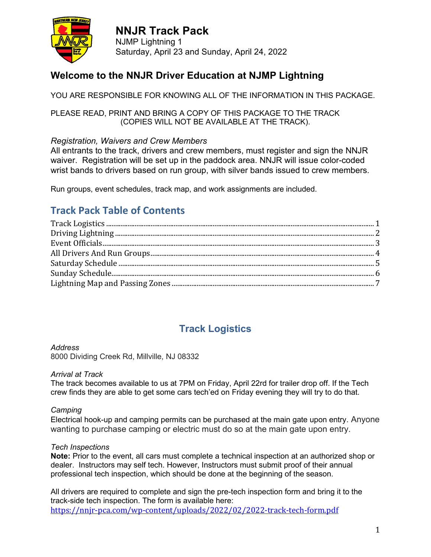

**NNJR Track Pack** NJMP Lightning 1 Saturday, April 23 and Sunday, April 24, 2022

### **Welcome to the NNJR Driver Education at NJMP Lightning**

YOU ARE RESPONSIBLE FOR KNOWING ALL OF THE INFORMATION IN THIS PACKAGE.

PLEASE READ, PRINT AND BRING A COPY OF THIS PACKAGE TO THE TRACK (COPIES WILL NOT BE AVAILABLE AT THE TRACK).

### *Registration, Waivers and Crew Members*

All entrants to the track, drivers and crew members, must register and sign the NNJR waiver. Registration will be set up in the paddock area. NNJR will issue color-coded wrist bands to drivers based on run group, with silver bands issued to crew members.

Run groups, event schedules, track map, and work assignments are included.

### **Track Pack Table of Contents**

### **Track Logistics**

#### *Address*

8000 Dividing Creek Rd, Millville, NJ 08332

#### *Arrival at Track*

The track becomes available to us at 7PM on Friday, April 22rd for trailer drop off. If the Tech crew finds they are able to get some cars tech'ed on Friday evening they will try to do that.

#### *Camping*

Electrical hook-up and camping permits can be purchased at the main gate upon entry. Anyone wanting to purchase camping or electric must do so at the main gate upon entry.

#### *Tech Inspections*

**Note:** Prior to the event, all cars must complete a technical inspection at an authorized shop or dealer. Instructors may self tech. However, Instructors must submit proof of their annual professional tech inspection, which should be done at the beginning of the season.

All drivers are required to complete and sign the pre-tech inspection form and bring it to the track-side tech inspection. The form is available here: <https://nnjr-pca.com/wp-content/uploads/2022/02/2022-track-tech-form.pdf>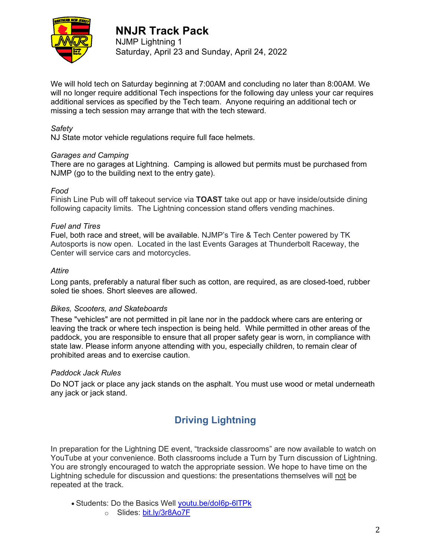

NJMP Lightning 1 Saturday, April 23 and Sunday, April 24, 2022

We will hold tech on Saturday beginning at 7:00AM and concluding no later than 8:00AM. We will no longer require additional Tech inspections for the following day unless your car requires additional services as specified by the Tech team. Anyone requiring an additional tech or missing a tech session may arrange that with the tech steward.

### *Safety*

NJ State motor vehicle regulations require full face helmets.

### *Garages and Camping*

There are no garages at Lightning. Camping is allowed but permits must be purchased from NJMP (go to the building next to the entry gate).

### *Food*

Finish Line Pub will off takeout service via **TOAST** take out app or have inside/outside dining following capacity limits. The Lightning concession stand offers vending machines.

#### *Fuel and Tires*

Fuel, both race and street, will be available. NJMP's Tire & Tech Center powered by TK Autosports is now open. Located in the last Events Garages at Thunderbolt Raceway, the Center will service cars and motorcycles.

#### *Attire*

Long pants, preferably a natural fiber such as cotton, are required, as are closed-toed, rubber soled tie shoes. Short sleeves are allowed.

#### *Bikes, Scooters, and Skateboards*

These "vehicles" are not permitted in pit lane nor in the paddock where cars are entering or leaving the track or where tech inspection is being held. While permitted in other areas of the paddock, you are responsible to ensure that all proper safety gear is worn, in compliance with state law. Please inform anyone attending with you, especially children, to remain clear of prohibited areas and to exercise caution.

#### *Paddock Jack Rules*

Do NOT jack or place any jack stands on the asphalt. You must use wood or metal underneath any jack or jack stand.

### **Driving Lightning**

In preparation for the Lightning DE event, "trackside classrooms" are now available to watch on YouTube at your convenience. Both classrooms include a Turn by Turn discussion of Lightning. You are strongly encouraged to watch the appropriate session. We hope to have time on the Lightning schedule for discussion and questions: the presentations themselves will not be repeated at the track.

- Students: Do the Basics Well [youtu.be/doI6p-6lTPk](https://youtu.be/doI6p-6lTPk)
	- o Slides: [bit.ly/3r8Ao7F](https://bit.ly/3r8Ao7F)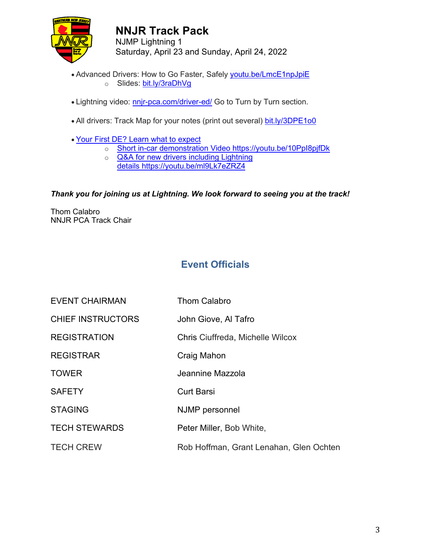

NJMP Lightning 1 Saturday, April 23 and Sunday, April 24, 2022

- Advanced Drivers: How to Go Faster, Safely [youtu.be/LmcE1npJpiE](https://youtu.be/LmcE1npJpiE) o Slides: [bit.ly/3raDhVg](https://bit.ly/3raDhVg)
- Lightning video: [nnjr-pca.com/driver-ed/](https://nnjr-pca.com/driver-ed/) Go to Turn by Turn section.
- All drivers: Track Map for your notes (print out several) [bit.ly/3DPE1o0](https://bit.ly/3DPE1o0)
- Your First DE? Learn what to expect
	- o Short in-car demonstration Video <https://youtu.be/10PpI8pjfDk>
	- o **Q&A** for new drivers including Lightning
	- details <https://youtu.be/ml9Lk7eZRZ4>

### *Thank you for joining us at Lightning. We look forward to seeing you at the track!*

Thom Calabro NNJR PCA Track Chair

### **Event Officials**

EVENT CHAIRMAN Thom Calabro CHIEF INSTRUCTORS John Giove, Al Tafro REGISTRATION Chris Ciuffreda, Michelle Wilcox REGISTRAR Craig Mahon TOWER Jeannine Mazzola SAFETY Curt Barsi STAGING NJMP personnel TECH STEWARDS Peter Miller, Bob White, TECH CREW Rob Hoffman, Grant Lenahan, Glen Ochten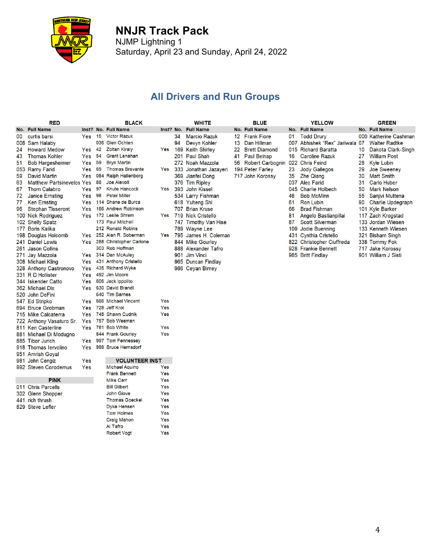

NJMP Lightning 1 Saturday, April 23 and Sunday, April 24, 2022

### **All Drivers and Run Groups**

|     | <b>RED</b>                       |            |    | <b>BLACK</b>                |           |    | <b>WHITE</b>          |                   | <b>BLUE</b>                      |    | <b>YELLOW</b>                  |    | <b>GREEN</b>             |
|-----|----------------------------------|------------|----|-----------------------------|-----------|----|-----------------------|-------------------|----------------------------------|----|--------------------------------|----|--------------------------|
|     | No. Full Name                    |            |    | Inst? No. Full Name         | Inst? No. |    | <b>Full Name</b>      |                   | No. Full Name                    |    | No. Full Name                  |    | No. Full Name            |
| 00  | curtis barsi                     |            |    | Yes 15 Victor Razuk         |           | 34 | <b>Marcio Razuk</b>   |                   | 12 Frank Fiore                   | 01 | <b>Todd Drury</b>              |    | 000 Katherine Cashman    |
| 008 | Sam Halaby                       |            |    | 036 Glen Ochten             |           | 94 | Devyn Kohler          | 13                | Dan Hillman                      |    | 007 Abhishek "Rex" Jariwala 07 |    | <b>Walter Radtke</b>     |
| 24  | <b>Howard Medow</b>              | $Yes$ 42   |    | <b>Zoltan Kiraly</b>        | Yes       |    | 169 Keith Shirley     | $22 \overline{ }$ | <b>Brett Diamond</b>             |    | 015 Richard Baratta            | 10 | Dakota Clark-Singh       |
| 43  | <b>Thomas Kohler</b>             | Yes        | 54 | <b>Grant Lenahan</b>        |           |    | 201 Paul Shah         | 41                | <b>Paul Belnap</b>               | 16 | <b>Caroline Razuk</b>          | 27 | <b>William Post</b>      |
| 51  | <b>Bob Hargesheimer</b>          | Yes        | 59 | <b>Bryn Martin</b>          |           |    | 272  Noah Mazzola     | 56                | Robert Carbognin 022 Chris Feind |    |                                | 28 | <b>Kyle Lubin</b>        |
|     | 053 Ramy Farid                   | <b>Yes</b> | 69 | <b>Thomas Bravante</b>      | Yes       |    | 333 Jonathan Jazayeri |                   | 194 Peter Farley                 | 23 | <b>Jody Gallegos</b>           | 29 | Joe Sweeney              |
| 59  | <b>David Martin</b>              | Yes        |    | 084 Ralph Hallenborg        |           |    | 369 Jianfei Dong      |                   | 717 John Korossy                 | 35 | <b>Zhe Qiang</b>               | 30 | <b>Matt Smith</b>        |
| 63  | <b>Matthew Partsinevelos Yes</b> |            | 88 | <b>Joe Aievoli</b>          |           |    | 376 Tim Ripley        |                   |                                  |    | 037 Alec Farid                 | 31 | <b>Carlo Huber</b>       |
| 67  | <b>Thom Calabro</b>              | <b>Yes</b> | 97 | <b>Knute Hancock</b>        | Yes       |    | 393 John Kissel       |                   |                                  |    | 045 Charlie Holbech            | 50 | <b>Mark Nelson</b>       |
| 72  | <b>Janice Ernsting</b>           | Yes        | 98 | <b>Peter Miller</b>         |           |    | 534 Larry Fishman     |                   |                                  | 46 | <b>Bob McMinn</b>              | 55 | Saniivi Muttena          |
| 77  | <b>Ken Ernsting</b>              | Yes        |    | 114 Shane de Burca          |           |    | 618 Yuheng Shi        |                   |                                  | 61 | <b>Ron Lubin</b>               | 90 | <b>Charlie Updegraph</b> |
| 96  | <b>Stephan Tisseront</b>         | Yes        |    | 166 Andrew Robinson         |           |    | 707 Brian Kruse       |                   |                                  | 66 | <b>Brad Fishman</b>            |    | 101 Kyle Barker          |
|     | 100 Nick Rodriguez               | Yes        |    | 172 Leslie Shrem            | Yes       |    | 719 Nick Cristello    |                   |                                  | 81 | Angelo Bastianpillai           |    | 117 Zach Krogstad        |
|     | 102 Shelly Spatz                 |            |    | 173 Paul Mitchell           |           |    | 747 Timothy Van Hise  |                   |                                  | 87 | <b>Scott Silverman</b>         |    | 133 Jordan Wiesen        |
|     | 177 Boris Kalika                 |            |    | 212 Ronald Robins           |           |    | 789 Wayne Lee         |                   |                                  |    | 109 Jodie Buenning             |    | 133 Kenneth Wiesen       |
|     | 198 Douglas Holcomb              |            |    | Yes 252 Alan R. Soberman    | Yes       |    | 795 James H. Coleman  |                   |                                  |    | 431 Cynthia Cristello          |    | 321 Bisham Singh         |
|     | 241 Daniel Lewis                 |            |    | Yes 288 Christopher Carione |           |    | 844 Mike Gourley      |                   |                                  |    | 822 Christopher Ciuffreda      |    | 338 Tommy Fok            |
|     | 261 Jason Collins                |            |    | 303 Rob Hoffman             |           |    | 888 Alexander Tafro   |                   |                                  |    | 928 Frankie Bennett            |    | 717 Jake Korossy         |
|     | 271 Jay Mazzola                  | Yes        |    | 314 Dan McAuley             |           |    | 901 Jim Vinci         |                   |                                  |    | 965 Britt Findlay              |    | 901 William J Sisti      |
|     | 308 Michael Kling                | Yes        |    | 431 Anthony Cristello       |           |    | 965 Duncan Findlay    |                   |                                  |    |                                |    |                          |
|     | 328 Anthony Castronovo           | Yes        |    | 435 Richard Wyke            |           |    | 986 Ceyan Birney      |                   |                                  |    |                                |    |                          |
|     | 331 R D Hollister                | Yes        |    | 492 Jim Moore               |           |    |                       |                   |                                  |    |                                |    |                          |
|     | 344 Iskender Catto               | Yes        |    | 606 Jack Ippolito           |           |    |                       |                   |                                  |    |                                |    |                          |
|     | 362 Michael Dix                  | <b>Yes</b> |    | 630 David Brandt            |           |    |                       |                   |                                  |    |                                |    |                          |
|     | 520 John DeFini                  |            |    | 640 Tim Barnes              |           |    |                       |                   |                                  |    |                                |    |                          |
|     | 547 Ed Stripko                   | Yes        |    | 666 Michael Vincent         | Yes       |    |                       |                   |                                  |    |                                |    |                          |
|     | 694 Bruce Grobman                | Yes        |    | 728 Jeff Krol               | Yes       |    |                       |                   |                                  |    |                                |    |                          |
|     | 715 Mike Calcaterra              | Yes        |    | 745 Shawn Cudnik            | Yes       |    |                       |                   |                                  |    |                                |    |                          |
|     | 722 Anthony Vasaturo Sr.         | Yes        |    | 757 Bob Weeman              |           |    |                       |                   |                                  |    |                                |    |                          |
|     | 811 Ken Casterline               | Yes        |    | 781 Bob White               | Yes       |    |                       |                   |                                  |    |                                |    |                          |
|     | 881 Michael Di Modugno           |            |    | 844 Frank Gourley           | Yes       |    |                       |                   |                                  |    |                                |    |                          |
|     | 885 Tibor Jurich                 | Yes        |    | 997 Tom Fennessey           |           |    |                       |                   |                                  |    |                                |    |                          |
|     | 918 Thomas lervolino             | Yes        |    | 999 Bruce Hernsdorf         |           |    |                       |                   |                                  |    |                                |    |                          |
|     | 951 Amrish Goyal                 |            |    |                             |           |    |                       |                   |                                  |    |                                |    |                          |
|     | 981 John Cengiz                  | Yes        |    | <b>VOLUNTEER INST</b>       |           |    |                       |                   |                                  |    |                                |    |                          |
|     | 992 Steven Corodemus             | Yes        |    | <b>Michael Aquino</b>       | Yes       |    |                       |                   |                                  |    |                                |    |                          |
|     |                                  |            |    | <b>Frank Bennett</b>        | Yes       |    |                       |                   |                                  |    |                                |    |                          |
|     | <b>PINK</b>                      |            |    | <b>Mike Carr</b>            | Yes       |    |                       |                   |                                  |    |                                |    |                          |
|     | 011 Chris Parcells               |            |    | <b>Bill Gilbert</b>         | Yes       |    |                       |                   |                                  |    |                                |    |                          |
|     | 302 Glenn Shopper                |            |    | John Giove                  | Yes       |    |                       |                   |                                  |    |                                |    |                          |
|     | 441 rich thrush                  |            |    | <b>Thomas Goeckel</b>       | Yes       |    |                       |                   |                                  |    |                                |    |                          |

- 829 Steve Lefler
- 

Dyke Hensen

Tom Holmes

**Craig Mahon** 

Robert Vogt

Al Tafro

Yes

Yes

Yes

Yes

Yes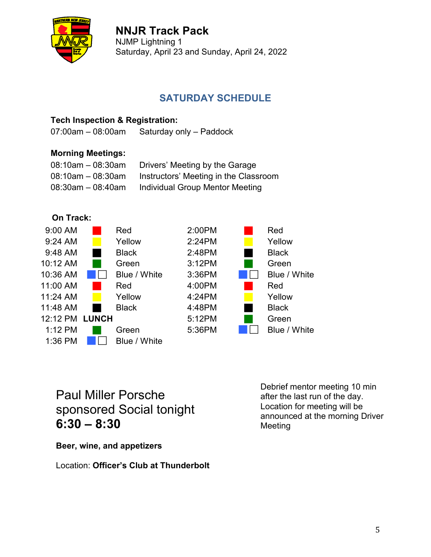

NJMP Lightning 1 Saturday, April 23 and Sunday, April 24, 2022

### **SATURDAY SCHEDULE**

### **Tech Inspection & Registration:**

07:00am – 08:00am Saturday only – Paddock

### **Morning Meetings:**

| $08:10$ am $-08:30$ am | Drivers' Meeting by the Garage        |
|------------------------|---------------------------------------|
| $08:10$ am $-08:30$ am | Instructors' Meeting in the Classroom |
| $08:30$ am $-08:40$ am | Individual Group Mentor Meeting       |





# Paul Miller Porsche sponsored Social tonight **6:30 – 8:30**

**Beer, wine, and appetizers**

Location: **Officer's Club at Thunderbolt**

Debrief mentor meeting 10 min after the last run of the day. Location for meeting will be announced at the morning Driver Meeting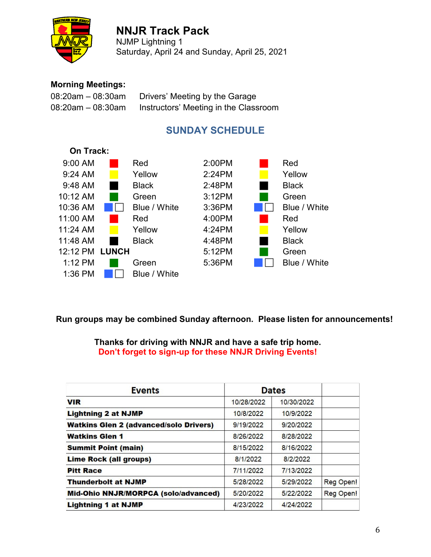

NJMP Lightning 1 Saturday, April 24 and Sunday, April 25, 2021

### **Morning Meetings:**

| $08:20$ am $-08:30$ am | Drivers' Meeting by the Garage        |
|------------------------|---------------------------------------|
| $08:20$ am $-08:30$ am | Instructors' Meeting in the Classroom |

### **SUNDAY SCHEDULE**



**Run groups may be combined Sunday afternoon. Please listen for announcements!**

**Thanks for driving with NNJR and have a safe trip home. Don't forget to sign-up for these NNJR Driving Events!**

| <b>Events</b>                                 | <b>Dates</b> |            |           |
|-----------------------------------------------|--------------|------------|-----------|
| <b>VIR</b>                                    | 10/28/2022   | 10/30/2022 |           |
| <b>Lightning 2 at NJMP</b>                    | 10/8/2022    | 10/9/2022  |           |
| <b>Watkins Glen 2 (advanced/solo Drivers)</b> | 9/19/2022    | 9/20/2022  |           |
| <b>Watkins Glen 1</b>                         | 8/26/2022    | 8/28/2022  |           |
| <b>Summit Point (main)</b>                    | 8/15/2022    | 8/16/2022  |           |
| <b>Lime Rock (all groups)</b>                 | 8/1/2022     | 8/2/2022   |           |
| <b>Pitt Race</b>                              | 7/11/2022    | 7/13/2022  |           |
| <b>Thunderbolt at NJMP</b>                    | 5/28/2022    | 5/29/2022  | Reg Open! |
| Mid-Ohio NNJR/MORPCA (solo/advanced)          | 5/20/2022    | 5/22/2022  | Reg Open! |
| <b>Lightning 1 at NJMP</b>                    | 4/23/2022    | 4/24/2022  |           |